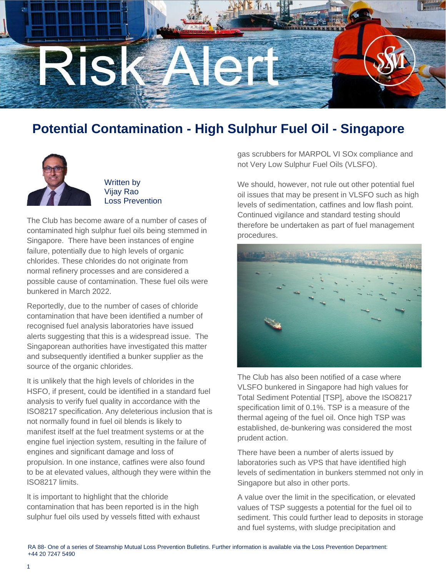

## **Potential Contamination - High Sulphur Fuel Oil - Singapore**



Written by Vijay Rao Loss Prevention

The Club has become aware of a number of cases of contaminated high sulphur fuel oils being stemmed in Singapore. There have been instances of engine failure, potentially due to high levels of organic chlorides. These chlorides do not originate from normal refinery processes and are considered a possible cause of contamination. These fuel oils were bunkered in March 2022.

Reportedly, due to the number of cases of chloride contamination that have been identified a number of recognised fuel analysis laboratories have issued alerts suggesting that this is a widespread issue. The Singaporean authorities have investigated this matter and subsequently identified a bunker supplier as the source of the organic chlorides.

It is unlikely that the high levels of chlorides in the HSFO, if present, could be identified in a standard fuel analysis to verify fuel quality in accordance with the ISO8217 specification. Any deleterious inclusion that is not normally found in fuel oil blends is likely to manifest itself at the fuel treatment systems or at the engine fuel injection system, resulting in the failure of engines and significant damage and loss of propulsion. In one instance, catfines were also found to be at elevated values, although they were within the ISO8217 limits.

It is important to highlight that the chloride contamination that has been reported is in the high sulphur fuel oils used by vessels fitted with exhaust gas scrubbers for MARPOL VI SOx compliance and not Very Low Sulphur Fuel Oils (VLSFO).

We should, however, not rule out other potential fuel oil issues that may be present in VLSFO such as high levels of sedimentation, catfines and low flash point. Continued vigilance and standard testing should therefore be undertaken as part of fuel management procedures.



The Club has also been notified of a case where VLSFO bunkered in Singapore had high values for Total Sediment Potential [TSP], above the ISO8217 specification limit of 0.1%. TSP is a measure of the thermal ageing of the fuel oil. Once high TSP was established, de-bunkering was considered the most prudent action.

There have been a number of alerts issued by laboratories such as VPS that have identified high levels of sedimentation in bunkers stemmed not only in Singapore but also in other ports.

A value over the limit in the specification, or elevated values of TSP suggests a potential for the fuel oil to sediment. This could further lead to deposits in storage and fuel systems, with sludge precipitation and